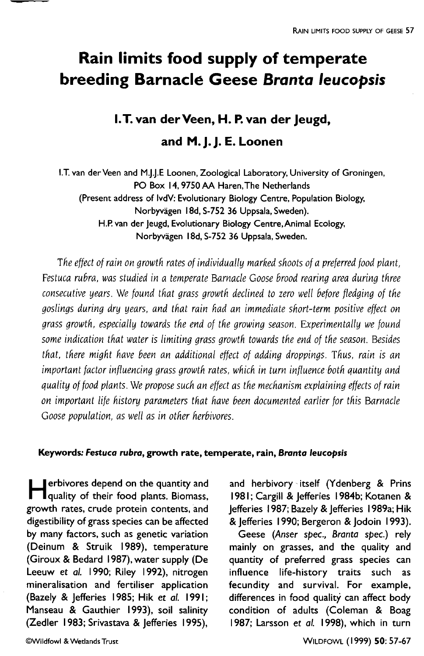# Rain limits food supply of temperate breeding Barnacle Geese Branta leucopsis

# I.T. van der Veen, H. P. van der Jeugd, and M. J. J. E. Loonen

I.T. van der Veen and M.J.J.E Loonen, Zoological Laboratory, University of Groningen, PO Box 14, 9750 AA Haren, The Netherlands (Present address of IvdV: Evolutionary Biology Centre, Population Biology, Norbyvägen 18d, S-752 36 Uppsala, Sweden). H.P. van der Jeugd, Evolutionary Biology Centre, Animal Ecology, Norbyvägen 18d, S-752 36 Uppsala, Sweden.

The effect of rain on growth rates of individually marked shoots of a preferred food plant, Festuca rubra, was studied in a temperate Barnacle Goose brood rearina area durina three consecutive years. We found that grass growth declined to zero well before fledging of the goslings during dry years, and that rain had an immediate short-term positive effect on grass growth, especially towards the end of the growing season. Experimentally we found some indication that water is limiting grass growth towards the end of the season. Besides that, there might have been an additional effect of adding droppings. Thus, rain is an important factor influencing grass growth rates, which in turn influence both quantity and aualitu of food plants. We propose such an effect as the mechanism explaining effects of rain on important life history parameters that have been documented earlier for this Barnacle Goose population, as well as in other herbivores.

#### Keywords: Festuca rubra, growth rate, temperate, rain, Branta leucopsis

erbivores depend on the quantity and<br>quality of their food plants. Biomass, growth rates, crude protein contents. and digestibility of grass species can be affected by many factors, such as genetic variation (Deinum & Struik 1989), temperature (Giroux & Bedard 1987), water supply (De Leeuw et al. 1990; Riley 1992), nitrogen mineralisation and fertiliser application (Bazely & Jefferies 1985; Hik et al. 1991; Manseau & Gauthier 1993), soil salinity (Zedler 1983; Srivastava & lefferies 1995).

and herbivory itself (Ydenberg & Prins 1981; Cargill & Jefferies 1984b; Kotanen & Jefferies 1987; Bazely & Jefferies 1989a; Hik & lefferies 1990; Bergeron & lodoin 1993).

Geese (Anser spec., Branta spec.) rely mainly on grasses, and the quality and quantity of preferred grass species can influence life-history traits such as fecundity and survival. For example, differences in food quality can affect body condition of adults (Coleman & Boag 1987; Larsson et al. 1998), which in turn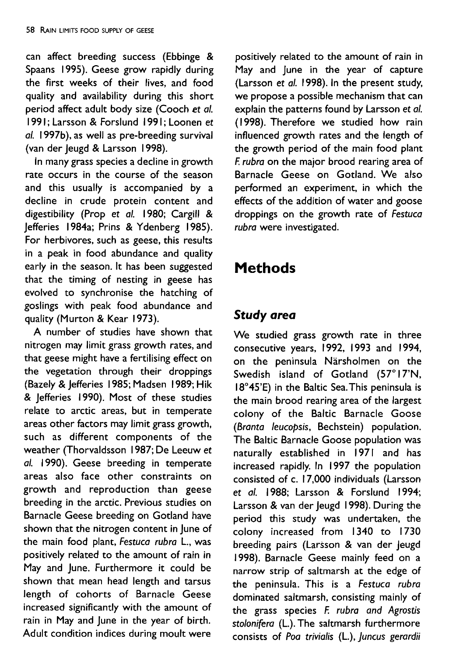can affect breeding success (Ebbinge & Spaans 1995). Geese grow rapidly during the first weeks of their lives, and food quality and availability during this short period affect adult body size (Cooch et al. 1991; Larsson & Forslund 1991; Loonen et al. 1997b), as well as pre-breeding survival (van der Jeugd & Larsson 1998).

In many grass species a decline in growth rate occurs in the course of the season and this usually is accompanied by a decline in crude protein content and digestibility (Prop et al. 1980; Cargill & lefferies 1984a; Prins & Ydenberg 1985). For herbivores, such as geese, this results in a peak in food abundance and quality early in the season. It has been suggested that the timing of nesting in geese has evolved to synchronise the hatching of goslings with peak food abundance and quality (Murton & Kear 1973).

A number of studies have shown that nitrogen may limit grass growth rates, and that geese might have a fertilising effect on the vegetation through their droppings (Bazely & Jefferies 1985; Madsen 1989; Hik & Jefferies 1990). Most of these studies relate to arctic areas, but in temperate areas other factors may limit grass growth, such as different components of the weather (Thorvaldsson 1987; De Leeuw et al. 1990). Geese breeding in temperate areas also face other constraints on growth and reproduction than geese breeding in the arctic. Previous studies on Barnacle Geese breeding on Gotland have shown that the nitrogen content in lune of the main food plant, Festuca rubra L., was positively related to the amount of rain in May and June. Furthermore it could be shown that mean head length and tarsus length of cohorts of Barnacle Geese increased significantly with the amount of rain in May and June in the year of birth. Adult condition indices during moult were

positively related to the amount of rain in May and June in the year of capture (Larsson et al. 1998). In the present study, we propose a possible mechanism that can explain the patterns found by Larsson et al. (1998). Therefore we studied how rain influenced growth rates and the length of the growth period of the main food plant F. rubra on the maior brood rearing area of Barnacle Geese on Gotland. We also performed an experiment, in which the effects of the addition of water and goose droppings on the growth rate of Festuca rubra were investigated.

# **Methods**

## **Study area**

We studied grass growth rate in three consecutive years, 1992, 1993 and 1994, on the peninsula Närsholmen on the Swedish island of Gotland (57°17'N, 18°45'E) in the Baltic Sea. This peninsula is the main brood rearing area of the largest colony of the Baltic Barnacle Goose (Branta leucopsis, Bechstein) population. The Baltic Barnacle Goose population was naturally established in 1971 and has increased rapidly. In 1997 the population consisted of c. 17,000 individuals (Larsson et al. 1988; Larsson & Forslund 1994; Larsson & van der Jeugd 1998). During the period this study was undertaken, the colony increased from 1340 to 1730 breeding pairs (Larsson & van der Jeugd 1998). Barnacle Geese mainly feed on a narrow strip of saltmarsh at the edge of the peninsula. This is a Festuca rubra dominated saltmarsh, consisting mainly of the grass species F. rubra and Agrostis stolonifera (L.). The saltmarsh furthermore consists of Poa trivialis (L.), Juncus gerardii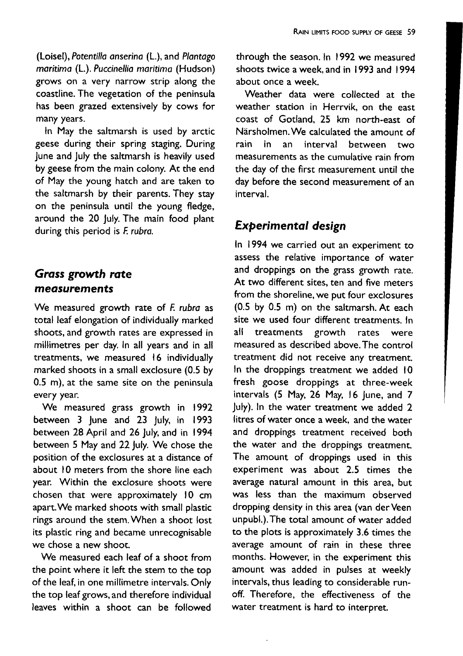(Loisel), Potentilla anserina (L.), and Plantago maritima (L.). Puccinellia maritima (Hudson) grows on a very narrow strip along the coastline. The vegetation of the peninsula has been grazed extensively by cows for many years.

In May the saltmarsh is used by arctic geese during their spring staging. During lune and luly the saltmarsh is heavily used by geese from the main colony. At the end of May the young hatch and are taken to the saltmarsh by their parents. They stay on the peninsula until the young fledge, around the 20 July. The main food plant during this period is F. rubra.

#### **Grass growth rate** measurements

We measured growth rate of F. rubra as total leaf elongation of individually marked shoots, and growth rates are expressed in millimetres per day. In all years and in all treatments, we measured 16 individually marked shoots in a small exclosure (0.5 by 0.5 m), at the same site on the peninsula every year.

We measured grass growth in 1992 between 3 June and 23 July, in 1993 between 28 April and 26 July, and in 1994 between 5 May and 22 July. We chose the position of the exclosures at a distance of about 10 meters from the shore line each year. Within the exclosure shoots were chosen that were approximately 10 cm apart. We marked shoots with small plastic rings around the stem. When a shoot lost its plastic ring and became unrecognisable we chose a new shoot.

We measured each leaf of a shoot from the point where it left the stem to the top of the leaf, in one millimetre intervals. Only the top leaf grows, and therefore individual leaves within a shoot can be followed through the season. In 1992 we measured shoots twice a week, and in 1993 and 1994 about once a week

Weather data were collected at the weather station in Herrvik, on the east coast of Gotland, 25 km north-east of Närsholmen. We calculated the amount of rain in.  $2n$ interval between two measurements as the cumulative rain from the day of the first measurement until the day before the second measurement of an interval.

#### **Experimental design**

In 1994 we carried out an experiment to assess the relative importance of water and droppings on the grass growth rate. At two different sites, ten and five meters from the shoreline, we put four exclosures (0.5 by 0.5 m) on the saltmarsh. At each site we used four different treatments. In all treatments growth rates were measured as described above. The control treatment did not receive any treatment. In the droppings treatment we added 10 fresh goose droppings at three-week intervals (5 May, 26 May, 16 June, and 7 luly). In the water treatment we added 2 litres of water once a week, and the water and droppings treatment received both the water and the droppings treatment. The amount of droppings used in this experiment was about 2.5 times the average natural amount in this area, but was less than the maximum observed dropping density in this area (van der Veen unpubl.). The total amount of water added to the plots is approximately 3.6 times the average amount of rain in these three months. However, in the experiment this amount was added in pulses at weekly intervals, thus leading to considerable runoff. Therefore, the effectiveness of the water treatment is hard to interpret.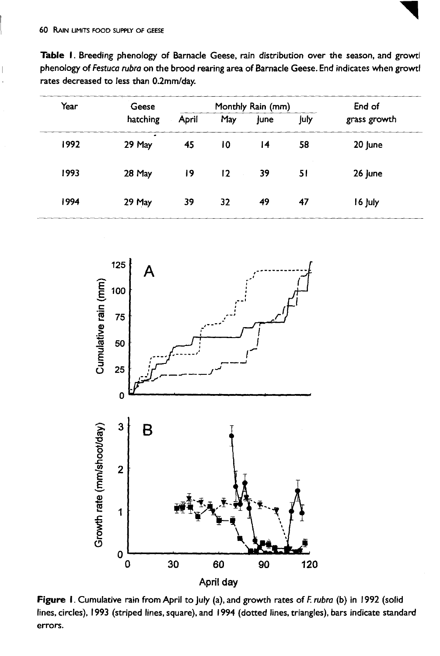

Table 1. Breeding phenology of Barnacle Geese, rain distribution over the season, and growtl phenology of Festuca rubra on the brood rearing area of Barnacle Geese. End indicates when growtl rates decreased to less than 0.2mm/day.

| Year | Geese<br>hatching | Monthly Rain (mm) |     |             |      | End of       |
|------|-------------------|-------------------|-----|-------------|------|--------------|
|      |                   | April             | May | <b>June</b> | luly | grass growth |
| 1992 | ٠<br>29 May       | 45                | 10  | 14          | 58   | 20 June      |
| 1993 | 28 May            | 19                | 12  | 39          | 51   | 26 june      |
| 1994 | 29 May            | 39                | 32  | 49          | 47   | 16 July      |



Figure 1. Cumulative rain from April to July (a), and growth rates of F. rubra (b) in 1992 (solid lines, circles), 1993 (striped lines, square), and 1994 (dotted lines, triangles), bars indicate standard errors.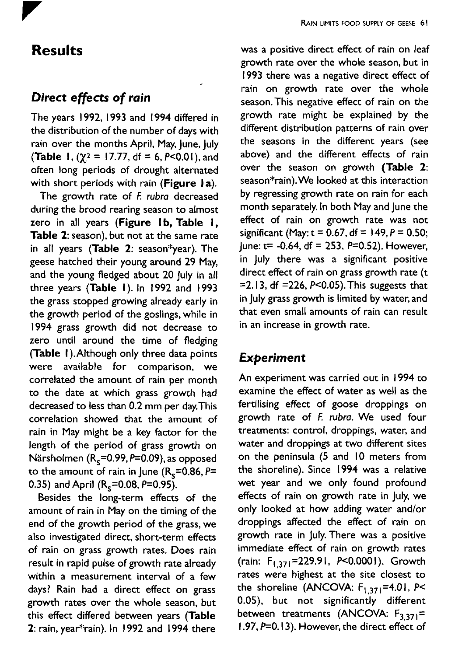

## **Results**

### Direct effects of rain

The years 1992, 1993 and 1994 differed in the distribution of the number of days with rain over the months April, May, June, July **(Table 1,**  $(\gamma^2 = 17.77, df = 6, P < 0.01)$ **, and** often long periods of drought alternated with short periods with rain (Figure 1a).

The growth rate of F. rubra decreased during the brood rearing season to almost zero in all years (Figure 1b, Table 1, Table 2: season), but not at the same rate in all years (Table 2: season\*year). The geese hatched their young around 29 May, and the young fledged about 20 July in all three years (Table 1). In 1992 and 1993 the grass stopped growing already early in the growth period of the goslings, while in 1994 grass growth did not decrease to zero until around the time of fledging (Table 1). Although only three data points were available for comparison, we correlated the amount of rain per month to the date at which grass growth had decreased to less than 0.2 mm per day. This correlation showed that the amount of rain in May might be a key factor for the length of the period of grass growth on Närsholmen  $(R_s=0.99, P=0.09)$ , as opposed to the amount of rain in June  $(R_s=0.86, P=$ 0.35) and April  $(R_s=0.08, P=0.95)$ .

Besides the long-term effects of the amount of rain in May on the timing of the end of the growth period of the grass, we also investigated direct, short-term effects of rain on grass growth rates. Does rain result in rapid pulse of growth rate already within a measurement interval of a few days? Rain had a direct effect on grass growth rates over the whole season, but this effect differed between years (Table 2: rain, year\*rain). In 1992 and 1994 there

was a positive direct effect of rain on leaf growth rate over the whole season, but in 1993 there was a negative direct effect of rain on growth rate over the whole season. This negative effect of rain on the growth rate might be explained by the different distribution patterns of rain over the seasons in the different years (see above) and the different effects of rain over the season on growth (Table 2: season\*rain). We looked at this interaction by regressing growth rate on rain for each month separately. In both May and June the effect of rain on growth rate was not significant (May:  $t = 0.67$ , df = 149, P = 0.50; lune: t= -0.64, df = 253, P=0.52). However, in July there was a significant positive direct effect of rain on grass growth rate (t = 2.13, df = 226,  $P < 0.05$ ). This suggests that in July grass growth is limited by water, and that even small amounts of rain can result in an increase in growth rate.

## **Experiment**

An experiment was carried out in 1994 to examine the effect of water as well as the fertilising effect of goose droppings on growth rate of F. rubra. We used four treatments: control, droppings, water, and water and droppings at two different sites on the peninsula (5 and 10 meters from the shoreline). Since 1994 was a relative wet year and we only found profound effects of rain on growth rate in July, we only looked at how adding water and/or droppings affected the effect of rain on growth rate in July. There was a positive immediate effect of rain on growth rates (rain: F<sub>1371</sub>=229.91, P<0.0001). Growth rates were highest at the site closest to the shoreline (ANCOVA:  $F_{1,371}$ =4.01, P< 0.05), but not significantly different between treatments (ANCOVA:  $F_{3,371}$ =  $1.97, P=0.13$ ). However, the direct effect of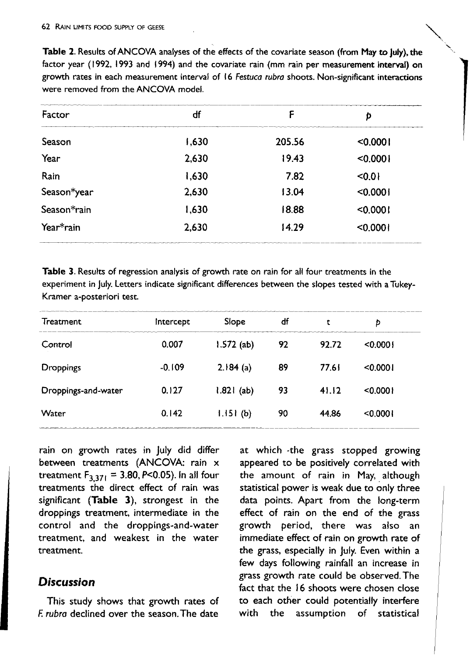Table 2. Results of ANCOVA analyses of the effects of the covariate season (from May to July), the factor year (1992, 1993 and 1994) and the covariate rain (mm rain per measurement interval) on growth rates in each measurement interval of 16 Festuca rubra shoots. Non-significant interactions were removed from the ANCOVA model.

| Factor      | df    | F      | p        |
|-------------|-------|--------|----------|
| Season      | 1,630 | 205.56 | < 0.0001 |
| Year        | 2,630 | 19.43  | < 0.0001 |
| Rain        | 1,630 | 7.82   | < 0.01   |
| Season*year | 2,630 | 13.04  | < 0.0001 |
| Season*rain | 1,630 | 18.88  | < 0.0001 |
| Year*rain   | 2,630 | 14.29  | < 0.0001 |

Table 3. Results of regression analysis of growth rate on rain for all four treatments in the experiment in July. Letters indicate significant differences between the slopes tested with a Tukey-Kramer a-posteriori test.

| intercept | Slope        | df | t     | D        |  |
|-----------|--------------|----|-------|----------|--|
| 0.007     | $1.572$ (ab) | 92 | 92.72 | < 0.0001 |  |
| $-0.109$  | 2.184(a)     | 89 | 77.61 | < 0.0001 |  |
| 0.127     | $1.821$ (ab) | 93 | 41.12 | < 0.0001 |  |
| 0.142     | 1.151(b)     | 90 | 44.86 | < 0.0001 |  |
|           |              |    |       |          |  |

rain on growth rates in July did differ between treatments (ANCOVA: rain x treatment  $F_{3,371} = 3.80, P<0.05$ ). In all four treatments the direct effect of rain was significant (Table 3), strongest in the droppings treatment, intermediate in the control and the droppings-and-water treatment, and weakest in the water treatment.

#### **Discussion**

This study shows that growth rates of F rubra declined over the season. The date

at which -the grass stopped growing appeared to be positively correlated with the amount of rain in May, although statistical power is weak due to only three data points. Apart from the long-term effect of rain on the end of the grass growth period, there was also an immediate effect of rain on growth rate of the grass, especially in July. Even within a few days following rainfall an increase in grass growth rate could be observed. The fact that the 16 shoots were chosen close to each other could potentially interfere with the assumption of statistical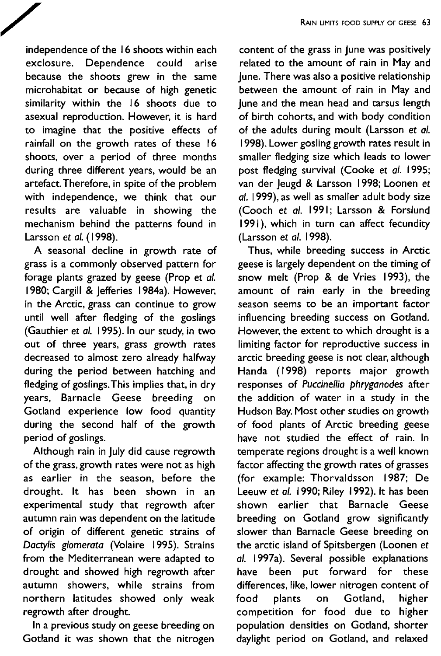independence of the 16 shoots within each exclosure. Dependence could arise because the shoots grew in the same microhabitat or because of high genetic similarity within the 16 shoots due to asexual reproduction. However, it is hard to imagine that the positive effects of rainfall on the growth rates of these 16 shoots, over a period of three months during three different years, would be an artefact. Therefore, in spite of the problem with independence, we think that our results are valuable in showing the mechanism behind the patterns found in Larsson et al. (1998).

A seasonal decline in growth rate of grass is a commonly observed pattern for forage plants grazed by geese (Prop et al. 1980; Cargill & Jefferies 1984a). However, in the Arctic, grass can continue to grow until well after fledging of the goslings (Gauthier et al. 1995). In our study, in two out of three years, grass growth rates decreased to almost zero already halfway during the period between hatching and fledging of goslings. This implies that, in dry years, Barnacle Geese breeding on Gotland experience low food quantity during the second half of the growth period of goslings.

Although rain in July did cause regrowth of the grass, growth rates were not as high as earlier in the season, before the drought. It has been shown in an experimental study that regrowth after autumn rain was dependent on the latitude of origin of different genetic strains of Dactylis glomerata (Volaire 1995). Strains from the Mediterranean were adapted to drought and showed high regrowth after autumn showers, while strains from northern latitudes showed only weak regrowth after drought.

In a previous study on geese breeding on Gotland it was shown that the nitrogen

content of the grass in lune was positively related to the amount of rain in May and June. There was also a positive relationship between the amount of rain in May and June and the mean head and tarsus length of birth cohorts, and with body condition of the adults during moult (Larsson et al. 1998). Lower gosling growth rates result in smaller fledging size which leads to lower post fledging survival (Cooke et al. 1995; van der leugd & Larsson 1998; Loonen et al. 1999), as well as smaller adult body size (Cooch et al. 1991; Larsson & Forslund 1991), which in turn can affect fecundity (Larsson et al. 1998).

Thus, while breeding success in Arctic geese is largely dependent on the timing of snow melt (Prop & de Vries 1993), the amount of rain early in the breeding season seems to be an important factor influencing breeding success on Gotland. However, the extent to which drought is a limiting factor for reproductive success in arctic breeding geese is not clear, although Handa (1998) reports major growth responses of Puccinellia phryganodes after the addition of water in a study in the Hudson Bay. Most other studies on growth of food plants of Arctic breeding geese have not studied the effect of rain. In temperate regions drought is a well known factor affecting the growth rates of grasses (for example: Thorvaldsson 1987; De Leeuw et al. 1990; Riley 1992). It has been shown earlier that Barnacle Geese breeding on Gotland grow significantly slower than Barnacle Geese breeding on the arctic island of Spitsbergen (Loonen et al. 1997a). Several possible explanations have been put forward for these differences, like, lower nitrogen content of food plants Gotland, higher on competition for food due to higher population densities on Gotland, shorter daylight period on Gotland, and relaxed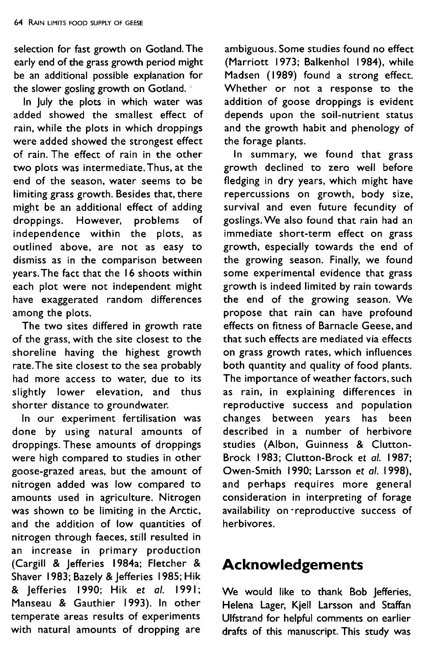selection for fast growth on Gotland. The early end of the grass growth period might be an additional possible explanation for the slower gosling growth on Gotland.

In July the plots in which water was added showed the smallest effect of rain, while the plots in which droppings were added showed the strongest effect of rain. The effect of rain in the other two plots was intermediate. Thus, at the end of the season, water seems to be limiting grass growth. Besides that, there might be an additional effect of adding droppings. However, problems оf independence within the plots, as outlined above, are not as easy to dismiss as in the comparison between years. The fact that the 16 shoots within each plot were not independent might have exaggerated random differences among the plots.

The two sites differed in growth rate of the grass, with the site closest to the shoreline having the highest growth rate. The site closest to the sea probably had more access to water, due to its slightly lower elevation, and thus shorter distance to groundwater.

In our experiment fertilisation was done by using natural amounts of droppings. These amounts of droppings were high compared to studies in other goose-grazed areas, but the amount of nitrogen added was low compared to amounts used in agriculture. Nitrogen was shown to be limiting in the Arctic, and the addition of low quantities of nitrogen through faeces, still resulted in an increase in primary production (Cargill & Jefferies 1984a; Fletcher & Shaver 1983; Bazely & Jefferies 1985; Hik & lefferies 1990; Hik et al. 1991; Manseau & Gauthier 1993). In other temperate areas results of experiments with natural amounts of dropping are

ambiguous. Some studies found no effect (Marriott 1973; Balkenhol 1984), while Madsen (1989) found a strong effect. Whether or not a response to the addition of goose droppings is evident depends upon the soil-nutrient status and the growth habit and phenology of the forage plants.

In summary, we found that grass growth declined to zero well before fledging in dry years, which might have repercussions on growth, body size, survival and even future fecundity of goslings. We also found that rain had an immediate short-term effect on grass growth, especially towards the end of the growing season. Finally, we found some experimental evidence that grass growth is indeed limited by rain towards the end of the growing season. We propose that rain can have profound effects on fitness of Barnacle Geese, and that such effects are mediated via effects on grass growth rates, which influences both quantity and quality of food plants. The importance of weather factors, such as rain, in explaining differences in reproductive success and population changes between years has been described in a number of herbivore studies (Albon, Guinness & Clutton-Brock 1983; Clutton-Brock et al. 1987; Owen-Smith 1990; Larsson et al. 1998), and perhaps requires more general consideration in interpreting of forage availability on reproductive success of herbivores.

# **Acknowledgements**

We would like to thank Bob Jefferies, Helena Lager, Kjell Larsson and Staffan Ulfstrand for helpful comments on earlier drafts of this manuscript. This study was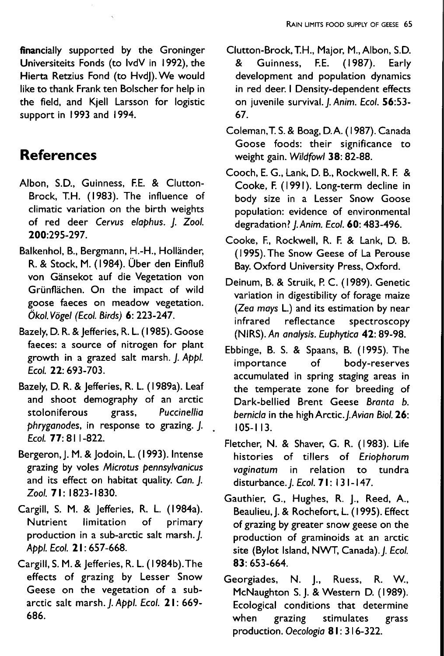financially supported by the Groninger Universiteits Fonds (to lvdV in 1992), the Hierta Retzius Fond (to Hvd)). We would like to thank Frank ten Bolscher for help in the field, and Kiell Larsson for logistic support in 1993 and 1994.

## **References**

- Albon, S.D., Guinness, F.E. & Clutton-Brock, T.H. (1983). The influence of climatic variation on the birth weights of red deer Cervus elaphus. J. Zool. 200:295-297
- Balkenhol, B., Bergmann, H.-H., Holländer, R. & Stock, M. (1984). Über den Einfluß von Gänsekot auf die Vegetation von Grünflächen. On the impact of wild goose faeces on meadow vegetation. Ökol. Vögel (Ecol. Birds) 6: 223-247.
- Bazely, D. R. & Jefferies, R. L. (1985). Goose faeces: a source of nitrogen for plant growth in a grazed salt marsh. J. Appl. Ecol. 22: 693-703.
- Bazely, D. R. & Jefferies, R. L. (1989a). Leaf and shoot demography of an arctic stoloniferous grass, Puccinellia phryganodes, in response to grazing. J. Ecol. 77: 811-822.
- Bergeron, J. M. & Jodoin, L. (1993). Intense grazing by voles Microtus pennsylvanicus and its effect on habitat quality. Can. J. Zool. 71: 1823-1830.
- Cargill, S. M. & Jefferies, R. L. (1984a). **Nutrient** limitation of primary production in a sub-arctic salt marsh. J. Appl. Ecol. 21: 657-668.
- Cargill, S. M. & Jefferies, R. L. (1984b). The effects of grazing by Lesser Snow Geese on the vegetation of a subarctic salt marsh. J. Appl. Ecol. 21: 669-686.
- Clutton-Brock, T.H., Major, M., Albon, S.D. Guinness, F.E. (1987). Early & development and population dynamics in red deer. I Density-dependent effects on juvenile survival. J. Anim. Ecol. 56:53-67.
- Coleman, T. S. & Boag, D.A. (1987). Canada Goose foods: their significance to weight gain. Wildfowl 38: 82-88.
- Cooch, E. G., Lank, D. B., Rockwell, R. F. & Cooke, F. (1991). Long-term decline in body size in a Lesser Snow Goose population: evidence of environmental degradation? J. Anim. Ecol. 60: 483-496.
- Cooke, F., Rockwell, R. F. & Lank, D. B. (1995). The Snow Geese of La Perouse Bay. Oxford University Press, Oxford.
- Deinum, B. & Struik, P. C. (1989). Genetic variation in digestibility of forage maize (Zea mays L.) and its estimation by near infrared reflectance spectroscopy (NIRS). An analysis. Euphytica 42: 89-98.
- Ebbinge, B. S. & Spaans, B. (1995). The importance  $of$ body-reserves accumulated in spring staging areas in the temperate zone for breeding of Dark-bellied Brent Geese Branta b. bernicla in the high Arctic. J. Avian Biol. 26:  $105 - 113.$
- Fletcher, N. & Shaver, G. R. (1983). Life histories of tillers of Eriophorum in relation to tundra vaginatum disturbance. J. Ecol. 71: 131-147.
- Gauthier, G., Hughes, R. J., Reed, A., Beaulieu, J. & Rochefort, L. (1995). Effect of grazing by greater snow geese on the production of graminoids at an arctic site (Bylot Island, NWT, Canada). J. Ecol. 83:653-664.
- Georgiades, N. J., Ruess, R. W., McNaughton S. J. & Western D. (1989). Ecological conditions that determine when grazing stimulates grass production. Oecologia 81: 316-322.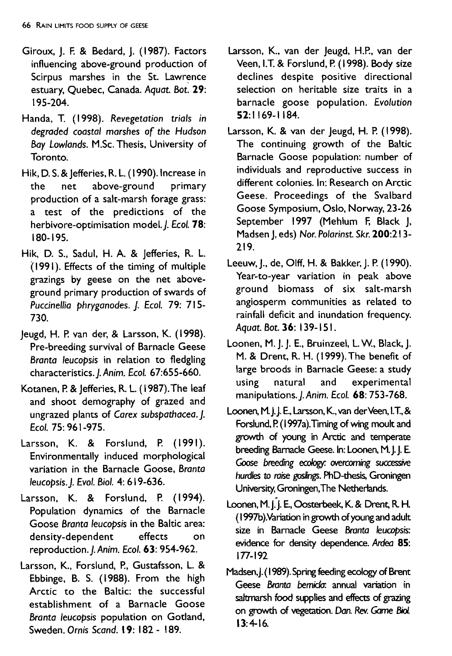- Giroux, J. F. & Bedard, J. (1987). Factors influencing above-ground production of Scirpus marshes in the St. Lawrence estuary, Quebec, Canada. *Aquat Bot: 29:* 195-204.
- Handa, T. (1998). *Revegetation trials in degraded coastal marshes* of *the Hudson Bay Lowlands.* M.Sc.Thesis, University of Toronto.
- Hik, D. S. & Jefferies, R. L. (1990). Increase in<br>the net above-ground primary above-ground production of a salt-marsh forage grass: a test of the predictions of the herbivore-optimisation model.). £Col. *78:* 180-195.
- Hik, D. S., Sadul, H. A. & jefferies, R. L. (1991). Effects of the timing of multiple grazings by geese on the net aboveground primary production of swards of *Puccinellia phryganodes.* j. *Eco/.* 79: 715- 730.
- Jeugd, H. P.van der, & Larsson, K. (1998). Pre-breeding survival of Barnacle Geese *Branta leucopsis* in relation to fledgling characteristics.j.Anim. *Eco/. 67:655-660.*
- Kotanen, P.& jefferies, R. L.( 1987).The leaf and shoot demography of grazed and ungrazed plants of *Carex subspathacea.). Eco/.* 75: 961-975.
- Larsson, K. & Forslund, P. (1991). Environmentally induced morphological variation in the Barnacle Goose, *Branta leucopsis.). Evo/. BioI.* 4: 619-636.
- Larsson, K. & Forslund, P. (1994). Population dynamics of the Barnacle Goose *Branta leucopsis* in the Baltic area: density-dependent effects on reproduction.). *Anim. Eco/.* 63: 954-962.
- Larsson, K., Forslund, P., Gustafsson, L. & Ebbinge, B. S. (1988). From the high Arctic to the Baltic: the successful establishment of a Barnacle Goose *Branta leucopsis* population on Gotland, Sweden. *Ornis Scand.* 19: 182 - 189.
- Larsson, K., van der Jeugd, H.P., van der Veen, I.T.& Forslund, P.(1998). Body size declines despite positive directional selection on heritable size traits in a barnacle goose population. *Evolution* 52:1169-1184.
- Larsson, K. & van der Jeugd, H. P. (1998). The continuing growth of the Baltic Barnacle Goose population: number of individuals and reproductive success in different colonies. In: Research on Arctic Geese. Proceedings of the Svalbard Goose Symposium, Oslo, Norway, 23-26 September 1997 (Mehlum F, Black J, Madsen j, eds) *Nor. Polarinst Skr. 200:213-* 219.
- Leeuw, j., de, Olff, H. & Bakker, j. P.(1990). Year-to-year variation in peak above ground biomass of six salt-marsh angiosperm communities as related to rainfall deficit and inundation frequency. *Aquat. Bot.* 36: 139-151.
- Loonen, M. j. j. E., Bruinzeel, L.W, Black, j. M. & Drent, R. H. (1999). The benefit of large broods in Barnacle Geese: a study using natural and experimental manipulations.).Anim. *Eco/.* 68: 753-768.
- Loonen, M.J.J.E., Larsson, K., van der Veen, I.T., & Forslund, P. (1997a). Timing of wing moult and growth of young in Arctic and temperate breeding Barnacle Geese. In: Loonen, M.J.J. E. Goose *breeding* ecology: *overcoming successive hurdles* to raise goslings. PhD-thesis, Groningen University,Groningen,The Netherlands.
- Loonen, M. J. J. E., Oosterbeek, K. & Drent, R. H. ( 1997b).Variationingrowth of youngand adult size in Bamacle Geese *Bronta leucopsis:* evidence for density dependence. *Ardea 85:* 177-192
- Madsen, J. (1989). Spring feeding ecology of Brent Geese *Bronta bemicJa:* annual variation in saltmarsh food supplies and effects of grazing on growth of vegetation. Dan. Rev.Game BioI. 13:4-16.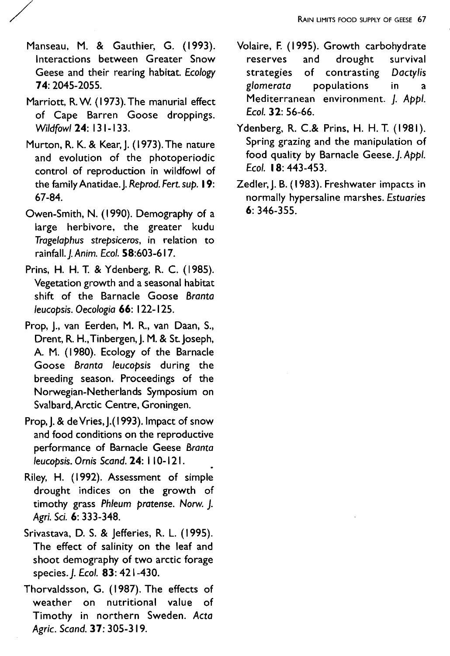- Manseau, M. & Gauthier, G. (1993). Interactions between Greater Snow Geese and their rearing habitat. Ecology 74: 2045-2055.
- Marriott, R. W. (1973). The manurial effect of Cape Barren Goose droppings. Wildfowl 24: 131-133.
- Murton, R. K. & Kear, J. (1973). The nature and evolution of the photoperiodic control of reproduction in wildfowl of the family Anatidae. J. Reprod. Fert. sup. 19: 67-84
- Owen-Smith, N. (1990). Demography of a large herbivore, the greater kudu Tragelabhus strebsiceros, in relation to rainfall. I. Anim. Ecol. 58:603-617.
- Prins, H. H. T. & Ydenberg, R. C. (1985). Vegetation growth and a seasonal habitat shift of the Barnacle Goose Branta leucobsis. Oecologia 66: 122-125.
- Prop, J., van Eerden, M. R., van Daan, S., Drent, R. H., Tinbergen, J. M. & St. Joseph, A. M. (1980). Ecology of the Barnacle Goose Branta leucopsis during the breeding season. Proceedings of the Norwegian-Netherlands Symposium on Svalbard, Arctic Centre, Groningen.
- Prop, J. & de Vries, J. (1993). Impact of snow and food conditions on the reproductive performance of Barnacle Geese Branta leucopsis. Ornis Scand. 24: 110-121.
- Riley, H. (1992). Assessment of simple drought indices on the growth of timothy grass Phleum pratense. Norw. J. Agri. Sci. 6: 333-348.
- Srivastava, D. S. & Jefferies, R. L. (1995). The effect of salinity on the leaf and shoot demography of two arctic forage species. J. Ecol. 83: 421-430.
- Thorvaldsson, G. (1987). The effects of weather on nutritional value of Timothy in northern Sweden. Acta Agric. Scand. 37: 305-319.
- Volaire, F. (1995). Growth carbohydrate survival reserves and drought of contrasting strategies Dactylis populations glomerata in  $\overline{a}$ Mediterranean environment. J. Appl.  $Fcol 32: 56-66$
- Ydenberg, R. C.& Prins, H. H. T. (1981). Spring grazing and the manipulation of food quality by Barnacle Geese. I. Abbl. Ecol. 18: 443-453.
- Zedler, J. B. (1983). Freshwater impacts in normally hypersaline marshes. Estuaries  $6:346-355$ .